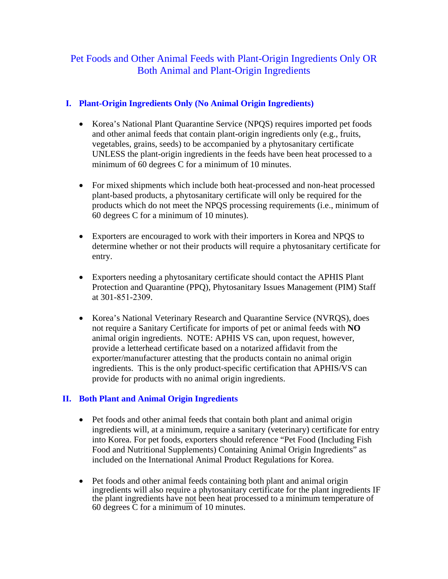## Pet Foods and Other Animal Feeds with Plant-Origin Ingredients Only OR Both Animal and Plant-Origin Ingredients

## **I. Plant-Origin Ingredients Only (No Animal Origin Ingredients)**

- Korea's National Plant Quarantine Service (NPQS) requires imported pet foods and other animal feeds that contain plant-origin ingredients only (e.g., fruits, vegetables, grains, seeds) to be accompanied by a phytosanitary certificate UNLESS the plant-origin ingredients in the feeds have been heat processed to a minimum of 60 degrees C for a minimum of 10 minutes.
- For mixed shipments which include both heat-processed and non-heat processed plant-based products, a phytosanitary certificate will only be required for the products which do not meet the NPQS processing requirements (i.e., minimum of 60 degrees C for a minimum of 10 minutes).
- Exporters are encouraged to work with their importers in Korea and NPQS to determine whether or not their products will require a phytosanitary certificate for entry.
- Exporters needing a phytosanitary certificate should contact the APHIS Plant Protection and Quarantine (PPQ), Phytosanitary Issues Management (PIM) Staff at 301-851-2309.
- Korea's National Veterinary Research and Quarantine Service (NVRQS), does not require a Sanitary Certificate for imports of pet or animal feeds with **NO** animal origin ingredients. NOTE: APHIS VS can, upon request, however, provide a letterhead certificate based on a notarized affidavit from the exporter/manufacturer attesting that the products contain no animal origin ingredients. This is the only product-specific certification that APHIS/VS can provide for products with no animal origin ingredients.

## **II. Both Plant and Animal Origin Ingredients**

- Pet foods and other animal feeds that contain both plant and animal origin ingredients will, at a minimum, require a sanitary (veterinary) certificate for entry into Korea. For pet foods, exporters should reference "Pet Food (Including Fish Food and Nutritional Supplements) Containing Animal Origin Ingredients" as included on the International Animal Product Regulations for Korea.
- Pet foods and other animal feeds containing both plant and animal origin ingredients will also require a phytosanitary certificate for the plant ingredients IF the plant ingredients have not been heat processed to a minimum temperature of 60 degrees  $\breve{C}$  for a minimum of 10 minutes.